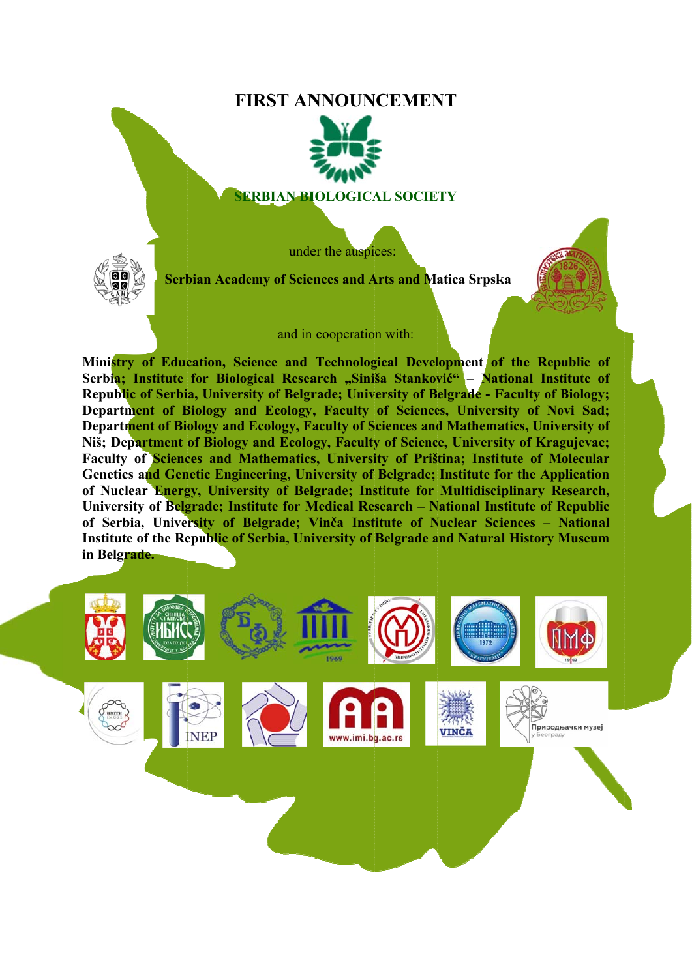# **FIRST ANNOUNCEMENT**



#### **SERBIAN BIOLOGICAL SOCIETY**

under the auspices:



**Serbian Academy of Sciences and Arts and Matica Srpska** 

and in cooperation with:

**Ministry of Education, Science and Technological Development of the Republic of** Serbia; Institute for Biological Research "Siniša Stanković" – National Institute of Republic of Serbia, University of Belgrade; University of Belgrade - Faculty of Biology; Department of Biology and Ecology, Faculty of Sciences, University of Novi Sad; **Department of Biology and Ecology, Faculty of Sciences and Mathematics, University of** Niš; Department of Biology and Ecology, Faculty of Science, University of Kragujevac; Faculty of Sciences and Mathematics, University of Priština; Institute of Molecular Genetics and Genetic Engineering, University of Belgrade; Institute for the Application **of Nuclear Energy, University of Belgrade; Institute for Multidisciplinary Research,** University of Belgrade; Institute for Medical Research – National Institute of Republic of Serbia, University of Belgrade; Vinča Institute of Nuclear Sciences - National Institute of the Republic of Serbia, University of Belgrade and Natural History Museum **in Belgr rade.** 

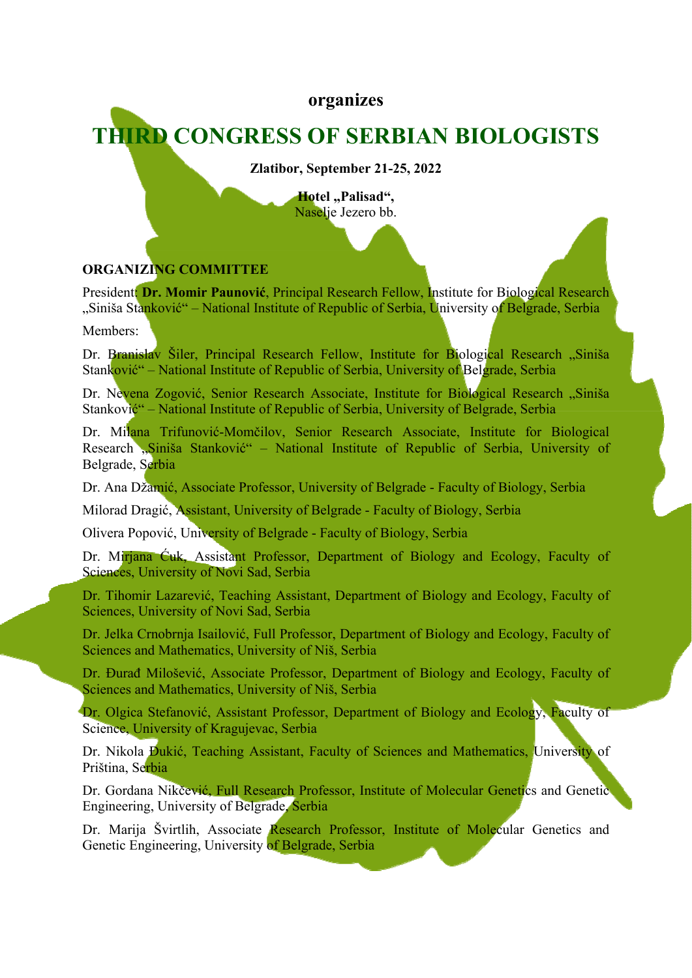# **organizes**

# **THIRD CONGRESS OF SERBIAN BIOLOGISTS**

**Zlatibor, September 21-25, 2022** 

Hotel "Palisad", Naselje Jezero bb.

### **ORGANIZING COMMITTEE**

President: **Dr. Momir Paunović**, Principal Research Fellow, Institute for Biological Research "Siniša Stanković" – National Institute of Republic of Serbia, University of Belgrade, Serbia

Members:

Dr. Branislav Šiler, Principal Research Fellow, Institute for Biological Research "Siniša Stanković" – National Institute of Republic of Serbia, University of Belgrade, Serbia

Dr. Nevena Zogović, Senior Research Associate, Institute for Biological Research "Siniša Stanković" – National Institute of Republic of Serbia, University of Belgrade, Serbia

Dr. Milana Trifunović-Momčilov, Senior Research Associate, Institute for Biological Research "Siniša Stanković" – National Institute of Republic of Serbia, University of Belgrade, Serbia

Dr. Ana Džamić, Associate Professor, University of Belgrade - Faculty of Biology, Serbia

Milorad Dragić, Assistant, University of Belgrade - Faculty of Biology, Serbia

Olivera Popović, University of Belgrade - Faculty of Biology, Serbia

Dr. Mirjana Ćuk, Assistant Professor, Department of Biology and Ecology, Faculty of Sciences, University of Novi Sad, Serbia

Dr. Tihomir Lazarević, Teaching Assistant, Department of Biology and Ecology, Faculty of Sciences, University of Novi Sad, Serbia

Dr. Jelka Crnobrnja Isailović, Full Professor, Department of Biology and Ecology, Faculty of Sciences and Mathematics, University of Niš, Serbia

Dr. Đurađ Milošević, Associate Professor, Department of Biology and Ecology, Faculty of Sciences and Mathematics, University of Niš, Serbia

Dr. Olgica Stefanović, Assistant Professor, Department of Biology and Ecology, Faculty of Science, University of Kragujevac, Serbia

Dr. Nikola Đukić, Teaching Assistant, Faculty of Sciences and Mathematics, University of Priština, Serbia

Dr. Gordana Nikčević, Full Research Professor, Institute of Molecular Genetics and Genetic Engineering, University of Belgrade, Serbia

Dr. Marija Švirtlih, Associate Research Professor, Institute of Molecular Genetics and Genetic Engineering, University of Belgrade, Serbia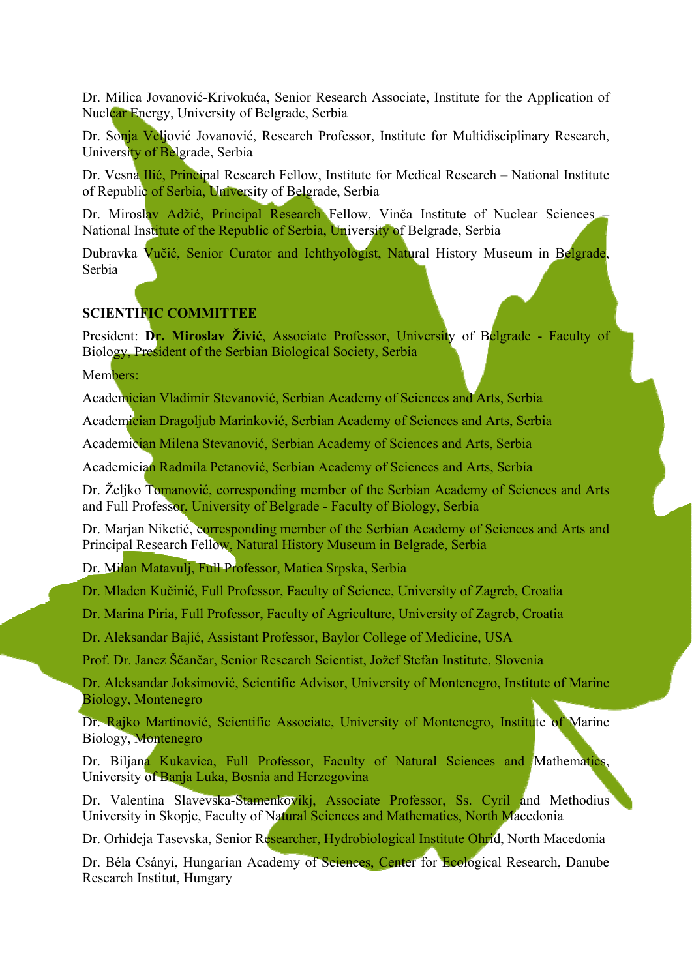Dr. Milica Jovanović-Krivokuća, Senior Research Associate, Institute for the Application of Nuclear Energy, University of Belgrade, Serbia

Dr. Sonja Veljović Jovanović, Research Professor, Institute for Multidisciplinary Research, University of Belgrade, Serbia

Dr. Vesna Ilić, Principal Research Fellow, Institute for Medical Research – National Institute of Republic of Serbia, University of Belgrade, Serbia

Dr. Miroslav Adžić, Principal Research Fellow, Vinča Institute of Nuclear Sciences – National Institute of the Republic of Serbia, University of Belgrade, Serbia

Dubravka Vučić, Senior Curator and Ichthyologist, Natural History Museum in Belgrade, Serbia

#### **SCIENTIFIC COMMITTEE**

President: **Dr. Miroslav Živić**, Associate Professor, University of Belgrade - Faculty of Biology, President of the Serbian Biological Society, Serbia

Members:

Academician Vladimir Stevanović, Serbian Academy of Sciences and Arts, Serbia

Academician Dragoljub Marinković, Serbian Academy of Sciences and Arts, Serbia

Academician Milena Stevanović, Serbian Academy of Sciences and Arts, Serbia

Academician Radmila Petanović, Serbian Academy of Sciences and Arts, Serbia

Dr. Željko Tomanović, corresponding member of the Serbian Academy of Sciences and Arts and Full Professor, University of Belgrade - Faculty of Biology, Serbia

Dr. Marjan Niketić, corresponding member of the Serbian Academy of Sciences and Arts and Principal Research Fellow, Natural History Museum in Belgrade, Serbia

Dr. Milan Matavulj, Full Professor, Matica Srpska, Serbia

Dr. Mladen Kučinić, Full Professor, Faculty of Science, University of Zagreb, Croatia

Dr. Marina Piria, Full Professor, Faculty of Agriculture, University of Zagreb, Croatia

Dr. Aleksandar Bajić, Assistant Professor, Baylor College of Medicine, USA

Prof. Dr. Janez Ščančar, Senior Research Scientist, Jožef Stefan Institute, Slovenia

Dr. Aleksandar Joksimović, Scientific Advisor, University of Montenegro, Institute of Marine Biology, Montenegro

Dr. Rajko Martinović, Scientific Associate, University of Montenegro, Institute of Marine Biology, Montenegro

Dr. Biljana Kukavica, Full Professor, Faculty of Natural Sciences and Mathematics, University of Banja Luka, Bosnia and Herzegovina

Dr. Valentina Slavevska-Stamenkovikj, Associate Professor, Ss. Cyril and Methodius University in Skopje, Faculty of Natural Sciences and Mathematics, North Macedonia

Dr. Orhideja Tasevska, Senior Researcher, Hydrobiological Institute Ohrid, North Macedonia

Dr. Béla Csányi, Hungarian Academy of Sciences, Center for Ecological Research, Danube Research Institut, Hungary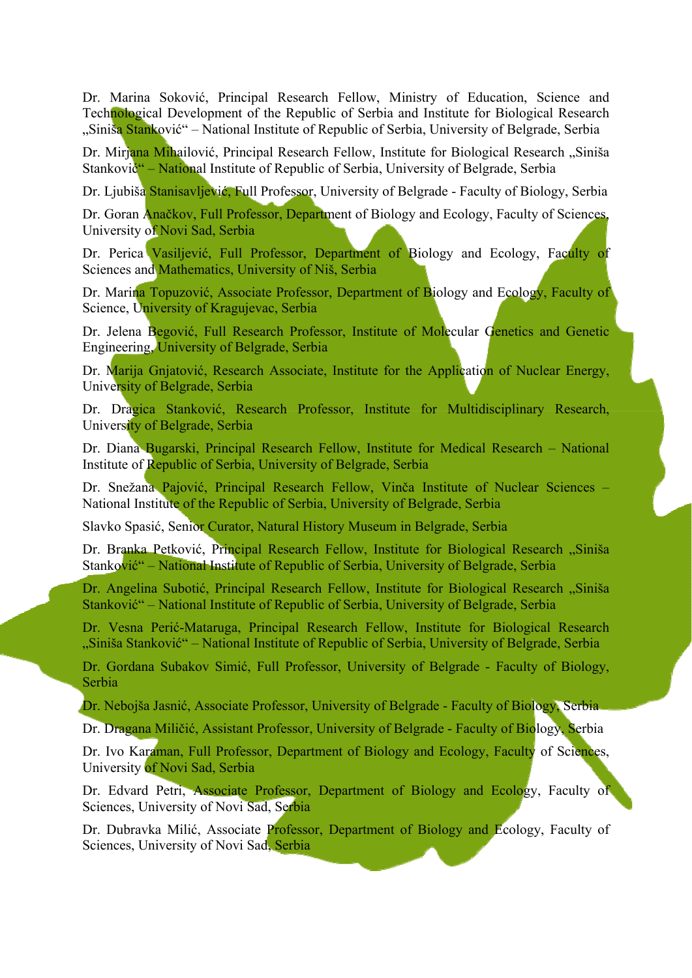Dr. Marina Soković, Principal Research Fellow, Ministry of Education, Science and Technological Development of the Republic of Serbia and Institute for Biological Research "Siniša Stanković" – National Institute of Republic of Serbia, University of Belgrade, Serbia

Dr. Mirjana Mihailović, Principal Research Fellow, Institute for Biological Research "Siniša Stanković" – National Institute of Republic of Serbia, University of Belgrade, Serbia

Dr. Ljubiša Stanisavljević, Full Professor, University of Belgrade - Faculty of Biology, Serbia

Dr. Goran Anačkov, Full Professor, Department of Biology and Ecology, Faculty of Sciences, University of Novi Sad, Serbia

Dr. Perica Vasiljević, Full Professor, Department of Biology and Ecology, Faculty of Sciences and Mathematics, University of Niš, Serbia

Dr. Marina Topuzović, Associate Professor, Department of Biology and Ecology, Faculty of Science, University of Kragujevac, Serbia

Dr. Jelena Begović, Full Research Professor, Institute of Molecular Genetics and Genetic Engineering, University of Belgrade, Serbia

Dr. Marija Gnjatović, Research Associate, Institute for the Application of Nuclear Energy, University of Belgrade, Serbia

Dr. Dragica Stanković, Research Professor, Institute for Multidisciplinary Research, University of Belgrade, Serbia

Dr. Diana Bugarski, Principal Research Fellow, Institute for Medical Research – National Institute of Republic of Serbia, University of Belgrade, Serbia

Dr. Snežana Pajović, Principal Research Fellow, Vinča Institute of Nuclear Sciences – National Institute of the Republic of Serbia, University of Belgrade, Serbia

Slavko Spasić, Senior Curator, Natural History Museum in Belgrade, Serbia

Dr. Branka Petković, Principal Research Fellow, Institute for Biological Research "Siniša Stanković" – National Institute of Republic of Serbia, University of Belgrade, Serbia

Dr. Angelina Subotić, Principal Research Fellow, Institute for Biological Research "Siniša Stanković" – National Institute of Republic of Serbia, University of Belgrade, Serbia

Dr. Vesna Perić-Mataruga, Principal Research Fellow, Institute for Biological Research "Siniša Stanković" – National Institute of Republic of Serbia, University of Belgrade, Serbia

Dr. Gordana Subakov Simić, Full Professor, University of Belgrade - Faculty of Biology, Serbia

Dr. Nebojša Jasnić, Associate Professor, University of Belgrade - Faculty of Biology, Serbia

Dr. Dragana Miličić, Assistant Professor, University of Belgrade - Faculty of Biology, Serbia

Dr. Ivo Karaman, Full Professor, Department of Biology and Ecology, Faculty of Sciences, University of Novi Sad, Serbia

Dr. Edvard Petri, Associate Professor, Department of Biology and Ecology, Faculty of Sciences, University of Novi Sad, Serbia

Dr. Dubravka Milić, Associate Professor, Department of Biology and Ecology, Faculty of Sciences, University of Novi Sad, Serbia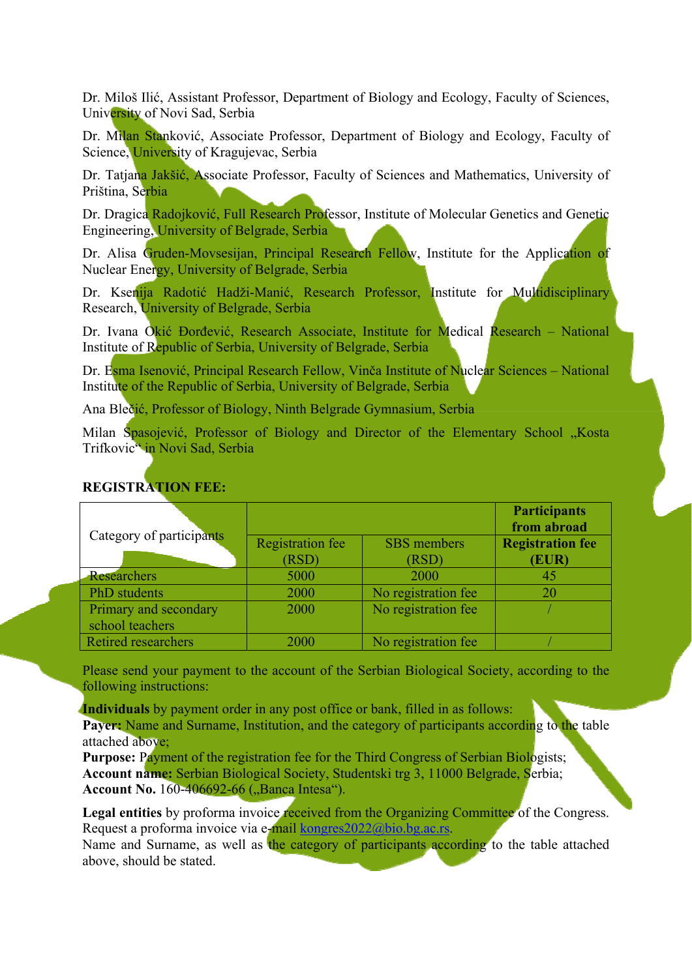Dr. Miloš Ilić, Assistant Professor, Department of Biology and Ecology, Faculty of Sciences, University of Novi Sad, Serbia

Dr. Milan Stanković, Associate Professor, Department of Biology and Ecology, Faculty of Science, University of Kragujevac, Serbia

Dr. Tatjana Jakšić, Associate Professor, Faculty of Sciences and Mathematics, University of Priština, Serbia

Dr. Dragica Radojković, Full Research Professor, Institute of Molecular Genetics and Genetic Engineering, University of Belgrade, Serbia

Dr. Alisa Gruden-Movsesijan, Principal Research Fellow, Institute for the Application of Nuclear Energy, University of Belgrade, Serbia

Dr. Ksenija Radotić Hadži-Manić, Research Professor, Institute for Multidisciplinary Research, University of Belgrade, Serbia

Dr. Ivana Okić Đorđević, Research Associate, Institute for Medical Research – National Institute of Republic of Serbia, University of Belgrade, Serbia

Dr. Esma Isenović, Principal Research Fellow, Vinča Institute of Nuclear Sciences – National Institute of the Republic of Serbia, University of Belgrade, Serbia

Ana Blečić, Professor of Biology, Ninth Belgrade Gymnasium, Serbia

Milan Spasojević, Professor of Biology and Director of the Elementary School "Kosta Trifkovic" in Novi Sad, Serbia

|                            |                         |                     | <b>Participants</b><br>from abroad |
|----------------------------|-------------------------|---------------------|------------------------------------|
| Category of participants   | <b>Registration fee</b> | SBS members         | <b>Registration fee</b>            |
|                            | (RSD)                   | (RSD)               | (EUR)                              |
| <b>Researchers</b>         | 5000                    | 2000                | 45                                 |
| PhD students               | 2000                    | No registration fee | 20                                 |
| Primary and secondary      | 2000                    | No registration fee |                                    |
| school teachers            |                         |                     |                                    |
| <b>Retired researchers</b> | 2000                    | No registration fee |                                    |

#### **REGISTRATION FEE:**

Please send your payment to the account of the Serbian Biological Society, according to the following instructions:

**Individuals** by payment order in any post office or bank, filled in as follows: Payer: Name and Surname, Institution, and the category of participants according to the table attached above;

**Purpose:** Payment of the registration fee for the Third Congress of Serbian Biologists; **Account name:** Serbian Biological Society, Studentski trg 3, 11000 Belgrade, Serbia; **Account No.** 160-406692-66 ("Banca Intesa").

Legal entities by proforma invoice received from the Organizing Committee of the Congress. Request a proforma invoice via e-mail kongres2022@bio.bg.ac.rs.

Name and Surname, as well as the category of participants according to the table attached above, should be stated.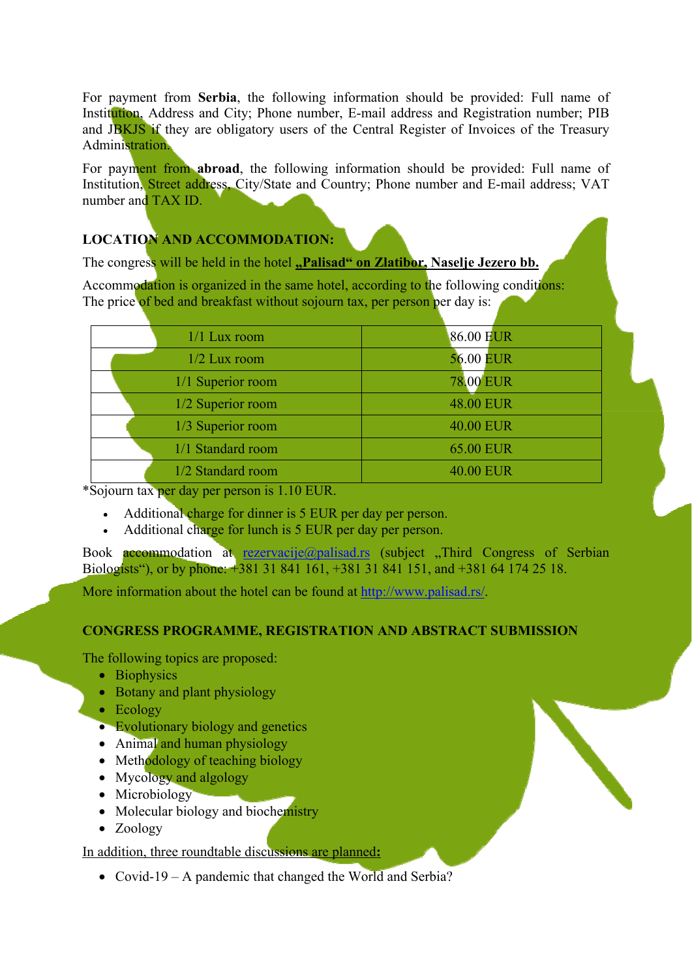For payment from **Serbia**, the following information should be provided: Full name of Institution, Address and City; Phone number, E-mail address and Registration number; PIB and JBKJS if they are obligatory users of the Central Register of Invoices of the Treasury Administration.

For payment from **abroad**, the following information should be provided: Full name of Institution, Street address, City/State and Country; Phone number and E-mail address; VAT number and TAX ID.

## **LOCATION AND ACCOMMODATION:**

The congress will be held in the hotel **"Palisad" on Zlatibor**. Naselje Jezero bb.

Accommodation is organized in the same hotel, according to the following conditions: The price of bed and breakfast without sojourn tax, per person per day is:

| $1/1$ Lux room    | 86.00 EUR        |
|-------------------|------------------|
| $1/2$ Lux room    | <b>56.00 EUR</b> |
| 1/1 Superior room | <b>78.00 EUR</b> |
| 1/2 Superior room | <b>48.00 EUR</b> |
| 1/3 Superior room | <b>40.00 EUR</b> |
| 1/1 Standard room | <b>65.00 EUR</b> |
| 1/2 Standard room | 40.00 EUR        |

\*Sojourn tax per day per person is 1.10 EUR.

- Additional charge for dinner is 5 EUR per day per person.
- Additional charge for lunch is 5 EUR per day per person.

Book **accommodation** at rezervacije@palisad.rs (subject ,Third Congress of Serbian Biologists"), or by phone: +381 31 841 161, +381 31 841 151, and +381 64 174 25 18.

More information about the hotel can be found at http://www.palisad.rs/.

#### **CONGRESS PROGRAMME, REGISTRATION AND ABSTRACT SUBMISSION**

The following topics are proposed:

- Biophysics
- Botany and plant physiology
- Ecology
- Evolutionary biology and genetics
- Animal and human physiology
- Methodology of teaching biology
- Mycology and algology
- Microbiology
- Molecular biology and biochemistry
- Zoology

In addition, three roundtable discussions are planned**:** 

• Covid-19 – A pandemic that changed the World and Serbia?